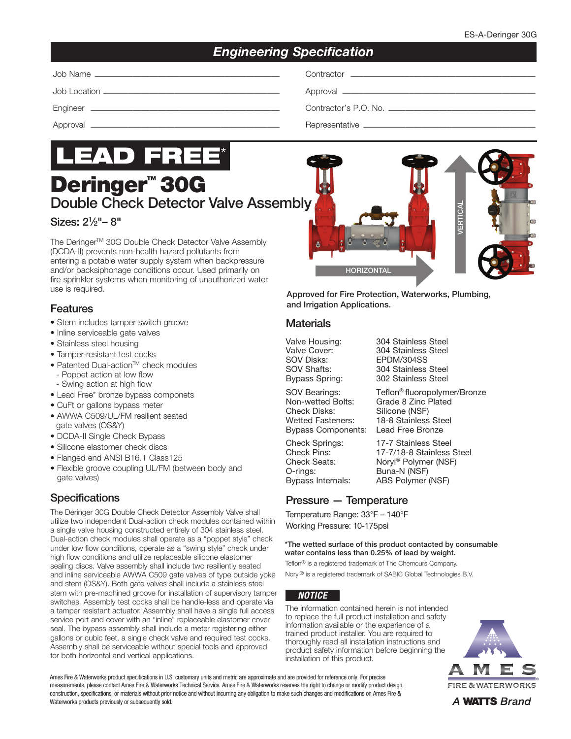# *Engineering Specification*

| Job<br>⊃ontractor<br>≅ Na⊓.<br>nmr<br>1117<br>the control of the control of the control of the control of the control of the control of the control of the control of the control of the control of the control of the control of the control of the control of the control | the contract of the contract of the contract of the contract of the contract of the contract of the contract of |
|-----------------------------------------------------------------------------------------------------------------------------------------------------------------------------------------------------------------------------------------------------------------------------|-----------------------------------------------------------------------------------------------------------------|
|-----------------------------------------------------------------------------------------------------------------------------------------------------------------------------------------------------------------------------------------------------------------------------|-----------------------------------------------------------------------------------------------------------------|

Job Location –––––––––––––––––––––––––––––––––––––––––– Approval ––––––––––––––––––––––––––––––––––––––––––––––

Engineer ––––––––––––––––––––––––––––––––––––––––––––– Contractor's P.O. No. –––––––––––––––––––––––––––––––––––

Approval ––––––––––––––––––––––––––––––––––––––––––––– Representative –––––––––––––––––––––––––––––––––––––––––



**Deringer<sup>™</sup> 30G** Double Check Detector Valve Assembl

### Sizes: 21 ⁄2"– 8"

The Deringer™ 30G Double Check Detector Valve Assembly (DCDA-II) prevents non-health hazard pollutants from entering a potable water supply system when backpressure and/or backsiphonage conditions occur. Used primarily on fire sprinkler systems when monitoring of unauthorized water use is required.

#### Features

- Stem includes tamper switch groove
- Inline serviceable gate valves
- Stainless steel housing
- Tamper-resistant test cocks
- Patented Dual-action<sup>™</sup> check modules
- Poppet action at low flow
- Swing action at high flow
- Lead Free\* bronze bypass componets
- CuFt or gallons bypass meter
- AWWA C509/UL/FM resilient seated gate valves (OS&Y)
- DCDA-II Single Check Bypass
- Silicone elastomer check discs
- Flanged end ANSI B16.1 Class125
- Flexible groove coupling UL/FM (between body and gate valves)

## **Specifications**

The Deringer 30G Double Check Detector Assembly Valve shall utilize two independent Dual-action check modules contained within a single valve housing constructed entirely of 304 stainless steel. Dual-action check modules shall operate as a "poppet style" check under low flow conditions, operate as a "swing style" check under high flow conditions and utilize replaceable silicone elastomer sealing discs. Valve assembly shall include two resiliently seated and inline serviceable AWWA C509 gate valves of type outside yoke and stem (OS&Y). Both gate valves shall include a stainless steel stem with pre-machined groove for installation of supervisory tamper switches. Assembly test cocks shall be handle-less and operate via a tamper resistant actuator. Assembly shall have a single full access service port and cover with an "inline" replaceable elastomer cover seal. The bypass assembly shall include a meter registering either gallons or cubic feet, a single check valve and required test cocks. Assembly shall be serviceable without special tools and approved for both horizontal and vertical applications.

| B<br>VERTICAL<br>C)<br>A<br>ô |   |  |
|-------------------------------|---|--|
| <b>HORIZONTAL</b>             | y |  |

Approved for Fire Protection, Waterworks, Plumbing, and Irrigation Applications.

#### **Materials**

Check Disks: Silicone (NSF) Wetted Fasteners: 18-8 Stainless Steel

Valve Housing: 304 Stainless Steel<br>Valve Cover: 304 Stainless Steel Valve Cover: 304 Stainless Steel<br>SOV Disks: EPDM/304SS EPDM/304SS SOV Shafts: 304 Stainless Steel<br>Bypass Spring: 302 Stainless Steel 302 Stainless Steel

SOV Bearings: Teflon® fluoropolymer/Bronze Non-wetted Bolts: Grade 8 Zinc Plated Bypass Components: Lead Free Bronze

Check Springs: 17-7 Stainless Steel Check Pins: 17-7/18-8 Stainless Steel<br>Check Seats: Norvl® Polymer (NSF) Check Seats: Noryl<sup>®</sup> Polymer (NSF)<br>O-rings: Buna-N (NSF) Buna-N (NSF) Bypass Internals: ABS Polymer (NSF)

### Pressure — Temperature

Temperature Range: 33°F – 140°F Working Pressure: 10-175psi

#### \*The wetted surface of this product contacted by consumable water contains less than 0.25% of lead by weight.

Teflon® is a registered trademark of The Chemours Company. Noryl® is a registered trademark of SABIC Global Technologies B.V.

#### *NOTICE*

The information contained herein is not intended to replace the full product installation and safety information available or the experience of a trained product installer. You are required to thoroughly read all installation instructions and product safety information before beginning the installation of this product.



Ames Fire & Waterworks product specifications in U.S. customary units and metric are approximate and are provided for reference only. For precise measurements, please contact Ames Fire & Waterworks Technical Service. Ames Fire & Waterworks reserves the right to change or modify product design, construction, specifications, or materials without prior notice and without incurring any obligation to make such changes and modifications on Ames Fire & Waterworks products previously or subsequently sold.

A **WATTS** Brand